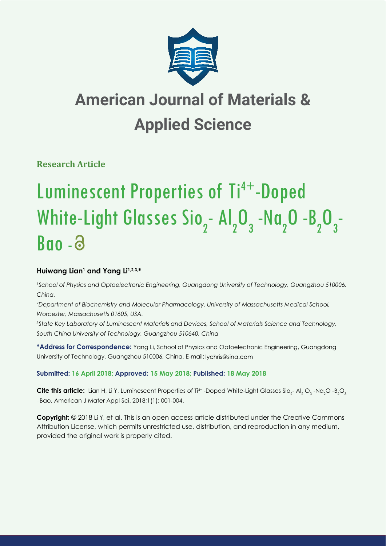

# **American Journal of Materials & Applied Science**

**Research Article**

# Luminescent Properties of Ti<sup>4+</sup>-Doped White-Light Glasses Sio<sub>2</sub>- Al<sub>2</sub>O<sub>3</sub>-Na<sub>2</sub>O-B<sub>2</sub>O<sub>3</sub>- $\n **Range**\n$

# Huiwang Lian<sup>1</sup> and Yang Li<sup>1,2,3,\*</sup>

*1 School of Physics and Optoelectronic Engineering, Guangdong University of Technology, Guangzhou 510006, China.*

*2 Department of Biochemistry and Molecular Pharmacology, University of Massachusetts Medical School, Worcester, Massachusetts 01605, USA.*

*3 State Key Laboratory of Luminescent Materials and Devices, School of Materials Science and Technology, South China University of Technology, Guangzhou 510640, China*

**\*Address for Correspondence:** Yang Li, School of Physics and Optoelectronic Engineering, Guangdong University of Technology, Guangzhou 510006, China, E-mail: lychris@sina.com

# **Submitted: 16 April 2018; Approved: 15 May 2018; Published: 18 May 2018**

**Cite this article:** Lian H, Li Y, Luminescent Properties of Ti<sup>4+</sup> -Doped White-Light Glasses Sio<sub>2</sub>- Al<sub>2</sub> O<sub>3</sub> -Na<sub>2</sub>O -B<sub>2</sub>O<sub>3</sub> –Bao. American J Mater Appl Sci. 2018;1(1): 001-004.

**Copyright:** © 2018 Li Y, et al. This is an open access article distributed under the Creative Commons Attribution License, which permits unrestricted use, distribution, and reproduction in any medium, provided the original work is properly cited.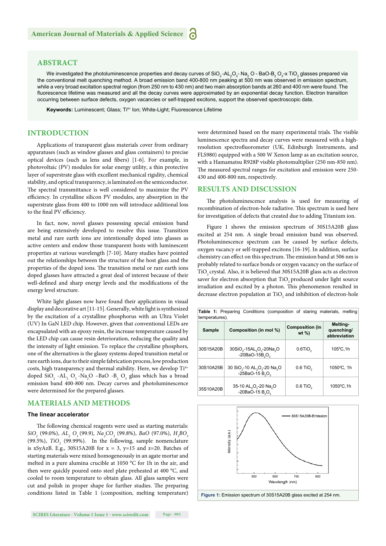## **ABSTRACT**

We investigated the photoluminescence properties and decay curves of SiO<sub>2</sub> -AL<sub>2</sub>O<sub>3</sub> - Na<sub>2</sub> O - BaO-B<sub>2</sub> O<sub>3</sub>-x TiO<sub>2</sub> glasses prepared via the conventional melt quenching method. A broad emission band 400-800 nm peaking at 500 nm was observed in emission spectrum, while a very broad excitation spectral region (from 250 nm to 430 nm) and two main absorption bands at 260 and 400 nm were found. The fluorescence lifetime was measured and all the decay curves were approximated by an exponential decay function. Electron transition occurring between surface defects, oxygen vacancies or self-trapped excitons, support the observed spectroscopic data.

Keywords: Luminescent; Glass; Ti<sup>4+</sup> Ion; White-Light; Fluorescence Lifetime

## **INTRODUCTION**

Applications of transparent glass materials cover from ordinary apparatuses (such as window glasses and glass containers) to precise optical devices (such as lens and fibers) [1-6]. For example, in photovoltaic (PV) modules for solar energy utility, a thin protective layer of superstrate glass with excellent mechanical rigidity, chemical stability, and optical transparency, is laminated on the semiconductor. The spectral transmittance is well considered to maximize the PV efficiency. In crystalline silicon PV modules, any absorption in the superstrate glass from 400 to 1000 nm will introduce additional loss to the final PV efficiency.

In fact, now, novel glasses possessing special emission band are being extensively developed to resolve this issue. Transition metal and rare earth ions are intentionally doped into glasses as active centers and endow those transparent hosts with luminescent properties at various wavelength [7-10]. Many studies have pointed out the relationships between the structure of the host glass and the properties of the doped ions. The transition metal or rare earth ions doped glasses have attracted a great deal of interest because of their well-defined and sharp energy levels and the modifications of the energy level structure.

White light glasses now have found their applications in visual display and decorative art [11-15]. Generally, white light is synthesized by the excitation of a crystalline phosphorus with an Ultra Violet (UV) In GaN LED chip. However, given that conventional LEDs are encapsulated with an epoxy resin, the increase temperature caused by the LED chip can cause resin deterioration, reducing the quality and the intensity of light emission. To replace the crystalline phosphors, one of the alternatives is the glassy systems doped transition metal or rare earth ions, due to their simple fabrication process, low production costs, high transparency and thermal stability. Here, we develop Ti<sup>4+</sup> doped  $SiO_2$  -AL<sub>2</sub> O<sub>3</sub> -Na<sub>2</sub>O –BaO -B<sub>2</sub> O<sub>3</sub> glass which has a broad emission band 400-800 nm. Decay curves and photoluminescence were determined for the prepared glasses.

#### **MATERIALS AND METHODS**

#### **The linear accelerator**

The following chemical reagents were used as starting materials:  $SiO_2$  (99.0%),  $AL_2$   $O_3$  (99.9),  $Na_2CO_3$  (99.8%),  $BaO$  (97.0%),  $H_3BO_3$ (99.5%), *TiO<sub>2</sub>* (99.99%). In the following, sample nomenclature is xSyAzB. E.g., 30S15A20B for  $x = 3$ , y=15 and z=20. Batches of starting materials were mixed homogeneously in an agate mortar and melted in a pure alumina crucible at 1050 °C for 1h in the air, and then were quickly poured onto steel plate preheated at 400 °C, and cooled to room temperature to obtain glass. All glass samples were cut and polish in proper shape for further studies. The preparing conditions listed in Table 1 (composition, melting temperature) were determined based on the many experimental trials. The visible luminescence spectra and decay curves were measured with a highresolution spectrofluorometer (UK, Edinburgh Instruments, and FLS980) equipped with a 500 W Xenon lamp as an excitation source, with a Hamamatsu R928P visible photomultiplier (250 nm-850 nm). The measured spectral ranges for excitation and emission were 250-430 and 400-800 nm, respectively.

#### **RESULTS AND DISCUSSION**

The photoluminescence analysis is used for measuring of recombination of electron-hole radiative. This spectrum is used here for investigation of defects that created due to adding Titanium ion.

Figure 1 shows the emission spectrum of 30S15A20B glass excited at 254 nm. A single broad emission band was observed. Photoluminescence spectrum can be caused by surface defects, oxygen vacancy or self-trapped excitons [16-19]. In addition, surface chemistry can effect on this spectrum. The emission band at 506 nm is probably related to surface bonds or oxygen vacancy on the surface of TiO<sub>2</sub> crystal. Also, it is believed that 30S15A20B glass acts as electron saver for electron absorption that TiO<sub>2</sub> produced under light source irradiation and excited by a photon. This phenomenon resulted in decrease electron population at  $\rm TiO_2$  and inhibition of electron-hole

| <b>Table 1:</b> Preparing Conditions (composition of staring materials, melting<br>temperatures). |                                                                                                 |                                     |                                        |
|---------------------------------------------------------------------------------------------------|-------------------------------------------------------------------------------------------------|-------------------------------------|----------------------------------------|
| <b>Sample</b>                                                                                     | Composition (in mol %)                                                                          | <b>Composition (in</b><br>wt $\%$ ) | Melting-<br>quenching/<br>abbreviation |
| 30S15A20B                                                                                         | 30SiO <sub>2</sub> -15AL <sub>2</sub> O <sub>3</sub> -20Na <sub>2</sub> O<br>$-20BaO-15B2O2$    | $0.6$ TiO <sub>2</sub>              | 105°C.1h                               |
| 30S10A25B                                                                                         | 30 SiO <sub>2</sub> -10 AL <sub>2</sub> O <sub>3</sub> -20 Na <sub>2</sub> O<br>$-25BaO-15B2O2$ | $0.6$ TiO <sub>2</sub>              | 1050°C, 1h                             |
| 35S10A20B                                                                                         | 35-10 AL <sub>2</sub> O <sub>3</sub> -20 Na <sub>2</sub> O<br>$-20Ba\bar{O}-15B_5O_3$           | $0.6$ TiO                           | 1050°C,1h                              |

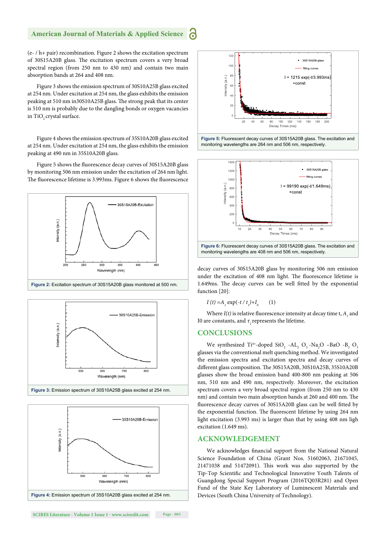# **American Journal of Materials & Applied Science**

(e- / h+ pair) recombination. Figure 2 shows the excitation spectrum of 30S15A20B glass. The excitation spectrum covers a very broad spectral region (from 250 nm to 430 nm) and contain two main absorption bands at 264 and 408 nm.

Figure 3 shows the emission spectrum of 30S10A25B glass excited at 254 nm. Under excitation at 254 nm, the glass exhibits the emission peaking at 510 nm in30S10A25B glass. The strong peak that its center is 510 nm is probably due to the dangling bonds or oxygen vacancies in TiO<sub>2</sub> crystal surface.

Figure 4 shows the emission spectrum of 35S10A20B glass excited at 254 nm. Under excitation at 254 nm, the glass exhibits the emission peaking at 490 nm in 35S10A20B glass.

Figure 5 shows the fluorescence decay curves of 30S15A20B glass by monitoring 506 nm emission under the excitation of 264 nm light. The fluorescence lifetime is 3.993ms. Figure 6 shows the fluorescence















decay curves of 30S15A20B glass by monitoring 506 nm emission under the excitation of 408 nm light. The fluorescence lifetime is 1.649ms. The decay curves can be well fitted by the exponential function [20]:

$$
I(t) = A_{1} \exp(-t / t_{1}) + I_{0} \qquad (1)
$$

Where  $I(t)$  is relative fluorescence intensity at decay time t,  $A_1$  and I0 are constants, and  $τ$ <sub>*,*</sub> represents the lifetime.

#### **CONCLUSIONS**

We synthesized  $Ti^{4+}$ -doped  $SiO_2$  -AL<sub>2</sub> O<sub>3</sub> -Na<sub>2</sub>O -BaO -B<sub>2</sub> O<sub>3</sub> glasses via the conventional melt quenching method. We investigated the emission spectra and excitation spectra and decay curves of different glass composition. The 30S15A20B, 30S10A25B, 35S10A20B glasses show the broad emission band 400-800 nm peaking at 506 nm, 510 nm and 490 nm, respectively. Moreover, the excitation spectrum covers a very broad spectral region (from 250 nm to 430 nm) and contain two main absorption bands at 260 and 400 nm. The fluorescence decay curves of 30S15A20B glass can be well fitted by the exponential function. The fluorescent lifetime by using 264 nm light excitation (3.993 ms) is larger than that by using 408 nm ligh excitation (1.649 ms).

#### **ACKNOWLEDGEMENT**

We acknowledges financial support from the National Natural Science Foundation of China (Grant Nos. 51602063, 21671045,  $21471038$  and  $51472091$ ). This work was also supported by the Tip-Top Scientific and Technological Innovative Youth Talents of Guangdong Special Support Program (2016TQ03R281) and Open Fund of the State Key Laboratory of Luminescent Materials and Devices (South China University of Technology).